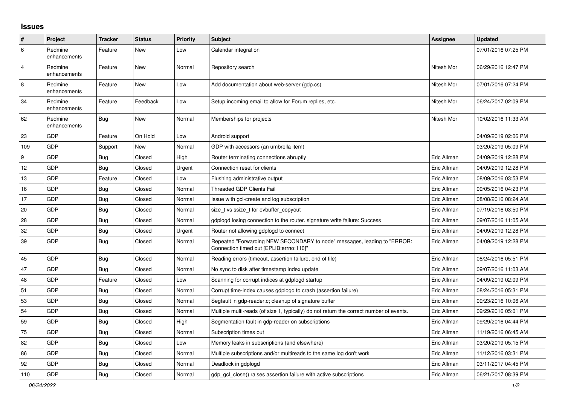## **Issues**

| #                | Project                 | <b>Tracker</b> | <b>Status</b> | <b>Priority</b> | <b>Subject</b>                                                                                                      | Assignee    | <b>Updated</b>      |
|------------------|-------------------------|----------------|---------------|-----------------|---------------------------------------------------------------------------------------------------------------------|-------------|---------------------|
| 6                | Redmine<br>enhancements | Feature        | New           | Low             | Calendar integration                                                                                                |             | 07/01/2016 07:25 PM |
| $\overline{4}$   | Redmine<br>enhancements | Feature        | <b>New</b>    | Normal          | Repository search                                                                                                   | Nitesh Mor  | 06/29/2016 12:47 PM |
| $\,8\,$          | Redmine<br>enhancements | Feature        | <b>New</b>    | Low             | Add documentation about web-server (gdp.cs)                                                                         | Nitesh Mor  | 07/01/2016 07:24 PM |
| 34               | Redmine<br>enhancements | Feature        | Feedback      | Low             | Setup incoming email to allow for Forum replies, etc.                                                               | Nitesh Mor  | 06/24/2017 02:09 PM |
| 62               | Redmine<br>enhancements | <b>Bug</b>     | <b>New</b>    | Normal          | Memberships for projects                                                                                            | Nitesh Mor  | 10/02/2016 11:33 AM |
| 23               | GDP                     | Feature        | On Hold       | Low             | Android support                                                                                                     |             | 04/09/2019 02:06 PM |
| 109              | GDP                     | Support        | <b>New</b>    | Normal          | GDP with accessors (an umbrella item)                                                                               |             | 03/20/2019 05:09 PM |
| $\boldsymbol{9}$ | GDP                     | <b>Bug</b>     | Closed        | High            | Router terminating connections abruptly                                                                             | Eric Allman | 04/09/2019 12:28 PM |
| 12               | GDP                     | Bug            | Closed        | Urgent          | Connection reset for clients                                                                                        | Eric Allman | 04/09/2019 12:28 PM |
| 13               | GDP                     | Feature        | Closed        | Low             | Flushing administrative output                                                                                      | Eric Allman | 08/09/2016 03:53 PM |
| 16               | GDP                     | Bug            | Closed        | Normal          | <b>Threaded GDP Clients Fail</b>                                                                                    | Eric Allman | 09/05/2016 04:23 PM |
| 17               | GDP                     | <b>Bug</b>     | Closed        | Normal          | Issue with gcl-create and log subscription                                                                          | Eric Allman | 08/08/2016 08:24 AM |
| 20               | GDP                     | Bug            | Closed        | Normal          | size tvs ssize t for evbuffer copyout                                                                               | Eric Allman | 07/19/2016 03:50 PM |
| 28               | GDP                     | <b>Bug</b>     | Closed        | Normal          | gdplogd losing connection to the router, signature write failure: Success                                           | Eric Allman | 09/07/2016 11:05 AM |
| 32               | GDP                     | <b>Bug</b>     | Closed        | Urgent          | Router not allowing gdplogd to connect                                                                              | Eric Allman | 04/09/2019 12:28 PM |
| 39               | GDP                     | <b>Bug</b>     | Closed        | Normal          | Repeated "Forwarding NEW SECONDARY to node" messages, leading to "ERROR:<br>Connection timed out [EPLIB:errno:110]" | Eric Allman | 04/09/2019 12:28 PM |
| 45               | GDP                     | <b>Bug</b>     | Closed        | Normal          | Reading errors (timeout, assertion failure, end of file)                                                            | Eric Allman | 08/24/2016 05:51 PM |
| 47               | GDP                     | <b>Bug</b>     | Closed        | Normal          | No sync to disk after timestamp index update                                                                        | Eric Allman | 09/07/2016 11:03 AM |
| 48               | <b>GDP</b>              | Feature        | Closed        | Low             | Scanning for corrupt indices at gdplogd startup                                                                     | Eric Allman | 04/09/2019 02:09 PM |
| 51               | GDP                     | <b>Bug</b>     | Closed        | Normal          | Corrupt time-index causes gdplogd to crash (assertion failure)                                                      | Eric Allman | 08/24/2016 05:31 PM |
| 53               | GDP                     | <b>Bug</b>     | Closed        | Normal          | Segfault in gdp-reader.c; cleanup of signature buffer                                                               | Eric Allman | 09/23/2016 10:06 AM |
| 54               | GDP                     | Bug            | Closed        | Normal          | Multiple multi-reads (of size 1, typically) do not return the correct number of events.                             | Eric Allman | 09/29/2016 05:01 PM |
| 59               | GDP                     | <b>Bug</b>     | Closed        | High            | Segmentation fault in gdp-reader on subscriptions                                                                   | Eric Allman | 09/29/2016 04:44 PM |
| 75               | GDP                     | <b>Bug</b>     | Closed        | Normal          | Subscription times out                                                                                              | Eric Allman | 11/19/2016 06:45 AM |
| 82               | GDP                     | Bug            | Closed        | Low             | Memory leaks in subscriptions (and elsewhere)                                                                       | Eric Allman | 03/20/2019 05:15 PM |
| 86               | GDP                     | <b>Bug</b>     | Closed        | Normal          | Multiple subscriptions and/or multireads to the same log don't work                                                 | Eric Allman | 11/12/2016 03:31 PM |
| 92               | GDP                     | Bug            | Closed        | Normal          | Deadlock in gdplogd                                                                                                 | Eric Allman | 03/11/2017 04:45 PM |
| 110              | GDP                     | Bug            | Closed        | Normal          | gdp gcl close() raises assertion failure with active subscriptions                                                  | Eric Allman | 06/21/2017 08:39 PM |